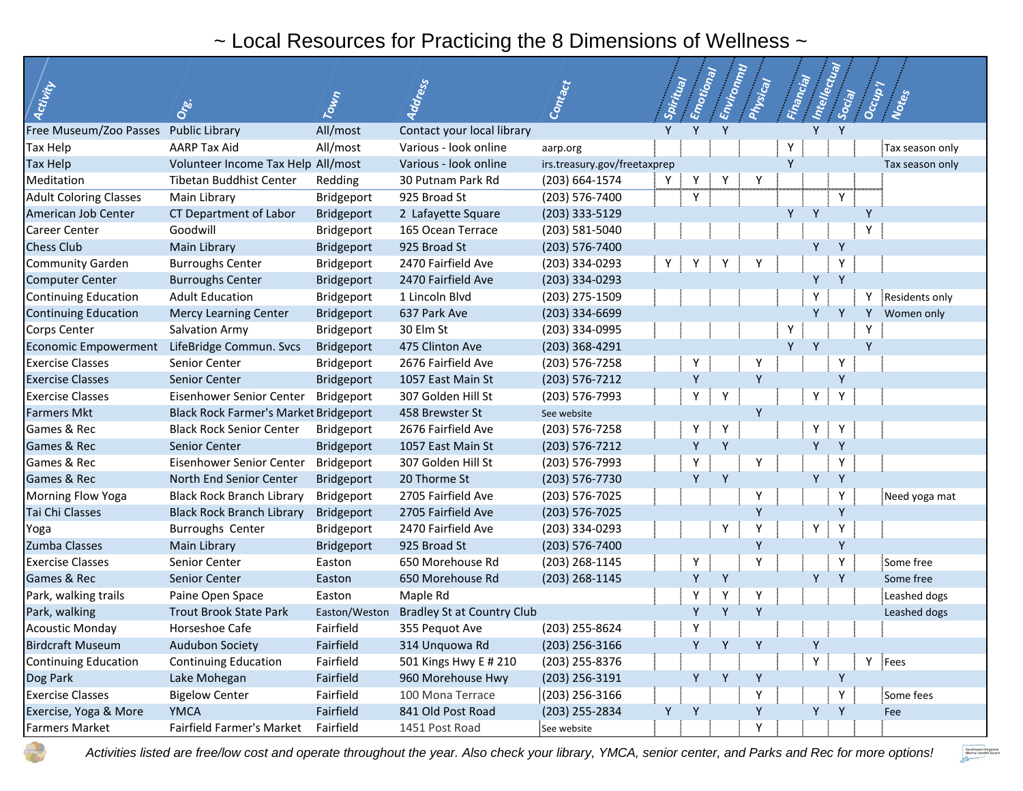## ~ Local Resources for Practicing the 8 Dimensions of Wellness ~

| Activity                              | Ore.                                         | Town          | Address                           | Contact                      | Spiritual | Emotional | Environnul | Physical | Financial | Intellectual | Social | Occup | Notes           |
|---------------------------------------|----------------------------------------------|---------------|-----------------------------------|------------------------------|-----------|-----------|------------|----------|-----------|--------------|--------|-------|-----------------|
| Free Museum/Zoo Passes Public Library |                                              | All/most      | Contact your local library        |                              | Y         | Y         | Y          |          |           |              |        |       |                 |
| Tax Help                              | <b>AARP Tax Aid</b>                          | All/most      | Various - look online             | aarp.org                     |           |           |            |          | Υ         |              |        |       | Tax season only |
| Tax Help                              | Volunteer Income Tax Help All/most           |               | Various - look online             | irs.treasury.gov/freetaxprep |           |           |            |          | Y         |              |        |       | Tax season only |
| Meditation                            | <b>Tibetan Buddhist Center</b>               | Redding       | 30 Putnam Park Rd                 | (203) 664-1574               | Y         |           |            | Υ        |           |              |        |       |                 |
| <b>Adult Coloring Classes</b>         | Main Library                                 | Bridgeport    | 925 Broad St                      | (203) 576-7400               |           | Y         |            |          |           |              | Y      |       |                 |
| American Job Center                   | CT Department of Labor                       | Bridgeport    | 2 Lafayette Square                | (203) 333-5129               |           |           |            |          |           | Y            |        | Y     |                 |
| Career Center                         | Goodwill                                     | Bridgeport    | 165 Ocean Terrace                 | (203) 581-5040               |           |           |            |          |           |              |        | Y     |                 |
| <b>Chess Club</b>                     | Main Library                                 | Bridgeport    | 925 Broad St                      | $(203) 576 - 7400$           |           |           |            |          |           |              |        |       |                 |
| <b>Community Garden</b>               | <b>Burroughs Center</b>                      | Bridgeport    | 2470 Fairfield Ave                | (203) 334-0293               | Y         | Y         |            |          |           |              |        |       |                 |
| <b>Computer Center</b>                | <b>Burroughs Center</b>                      | Bridgeport    | 2470 Fairfield Ave                | (203) 334-0293               |           |           |            |          |           | Y            | Y      |       |                 |
| <b>Continuing Education</b>           | <b>Adult Education</b>                       | Bridgeport    | 1 Lincoln Blvd                    | (203) 275-1509               |           |           |            |          |           |              |        |       | Residents only  |
| <b>Continuing Education</b>           | <b>Mercy Learning Center</b>                 | Bridgeport    | 637 Park Ave                      | (203) 334-6699               |           |           |            |          |           |              |        | Υ     | Women only      |
| Corps Center                          | Salvation Army                               | Bridgeport    | 30 Elm St                         | (203) 334-0995               |           |           |            |          | Υ         |              |        | Υ     |                 |
| <b>Economic Empowerment</b>           | LifeBridge Commun. Svcs                      | Bridgeport    | 475 Clinton Ave                   | (203) 368-4291               |           |           |            |          | <b>V</b>  | $\mathsf{v}$ |        | Y     |                 |
| <b>Exercise Classes</b>               | Senior Center                                | Bridgeport    | 2676 Fairfield Ave                | (203) 576-7258               |           | Υ         |            |          |           |              | Υ      |       |                 |
| <b>Exercise Classes</b>               | Senior Center                                | Bridgeport    | 1057 East Main St                 | $(203) 576 - 7212$           |           | Y         |            |          |           |              |        |       |                 |
| <b>Exercise Classes</b>               | Eisenhower Senior Center                     | Bridgeport    | 307 Golden Hill St                | (203) 576-7993               |           | Υ         | Υ          |          |           | Υ            |        |       |                 |
| <b>Farmers Mkt</b>                    | <b>Black Rock Farmer's Market Bridgeport</b> |               | 458 Brewster St                   | See website                  |           |           |            | Y        |           |              |        |       |                 |
| Games & Rec                           | <b>Black Rock Senior Center</b>              | Bridgeport    | 2676 Fairfield Ave                | (203) 576-7258               |           |           | Y          |          |           |              |        |       |                 |
| Games & Rec                           | Senior Center                                | Bridgeport    | 1057 East Main St                 | $(203) 576 - 7212$           |           | γ         | Y          |          |           |              |        |       |                 |
| Games & Rec                           | Eisenhower Senior Center                     | Bridgeport    | 307 Golden Hill St                | (203) 576-7993               |           | Y         |            | Υ        |           |              |        |       |                 |
| Games & Rec                           | North End Senior Center                      | Bridgeport    | 20 Thorme St                      | (203) 576-7730               |           | Y         | Y          |          |           |              |        |       |                 |
| Morning Flow Yoga                     | <b>Black Rock Branch Library</b>             | Bridgeport    | 2705 Fairfield Ave                | (203) 576-7025               |           |           |            | Y        |           |              |        |       | Need yoga mat   |
| Tai Chi Classes                       | <b>Black Rock Branch Library</b>             | Bridgeport    | 2705 Fairfield Ave                | $(203) 576 - 7025$           |           |           |            | ۷        |           |              | Υ      |       |                 |
| Yoga                                  | <b>Burroughs Center</b>                      | Bridgeport    | 2470 Fairfield Ave                | (203) 334-0293               |           |           | Y          |          |           | Υ            | Υ      |       |                 |
| Zumba Classes                         | Main Library                                 | Bridgeport    | 925 Broad St                      | $(203) 576 - 7400$           |           |           |            | ۷        |           |              |        |       |                 |
| <b>Exercise Classes</b>               | Senior Center                                | Easton        | 650 Morehouse Rd                  | (203) 268-1145               |           | Υ         |            |          |           |              |        |       | Some free       |
| Games & Rec                           | Senior Center                                | Easton        | 650 Morehouse Rd                  | (203) 268-1145               |           | Y         | Y          |          |           | Υ            | Y      |       | Some free       |
| Park, walking trails                  | Paine Open Space                             | Easton        | Maple Rd                          |                              |           | Y         |            |          |           |              |        |       | Leashed dogs    |
| Park, walking                         | <b>Trout Brook State Park</b>                | Easton/Weston | <b>Bradley St at Country Club</b> |                              |           |           |            |          |           |              |        |       | Leashed dogs    |
| <b>Acoustic Monday</b>                | Horseshoe Cafe                               | Fairfield     | 355 Pequot Ave                    | (203) 255-8624               |           | Υ         |            |          |           |              |        |       |                 |
| <b>Birdcraft Museum</b>               | Audubon Society                              | Fairfield     | 314 Unquowa Rd                    | (203) 256-3166               |           | Y         | Y          | Y        |           | Υ            |        |       |                 |
| <b>Continuing Education</b>           | <b>Continuing Education</b>                  | Fairfield     | 501 Kings Hwy E # 210             | (203) 255-8376               |           |           |            |          |           | Υ            |        | Υ     | Fees            |
| Dog Park                              | Lake Mohegan                                 | Fairfield     | 960 Morehouse Hwy                 | (203) 256-3191               |           | Y         |            |          |           |              | Y      |       |                 |
| <b>Exercise Classes</b>               | <b>Bigelow Center</b>                        | Fairfield     | 100 Mona Terrace                  | (203) 256-3166               |           |           |            |          |           |              | Y      |       | Some fees       |
| Exercise, Yoga & More                 | <b>YMCA</b>                                  | Fairfield     | 841 Old Post Road                 | (203) 255-2834               | Y         | Y         |            | Y        |           | Y            | Y      |       | Fee             |
| Farmers Market                        | Fairfield Farmer's Market                    | Fairfield     | 1451 Post Road                    | See website                  |           |           |            |          |           |              |        |       |                 |

*Activities listed are free/low cost and operate throughout the year. Also check your library, YMCA, senior center, and Parks and Rec for more options!*